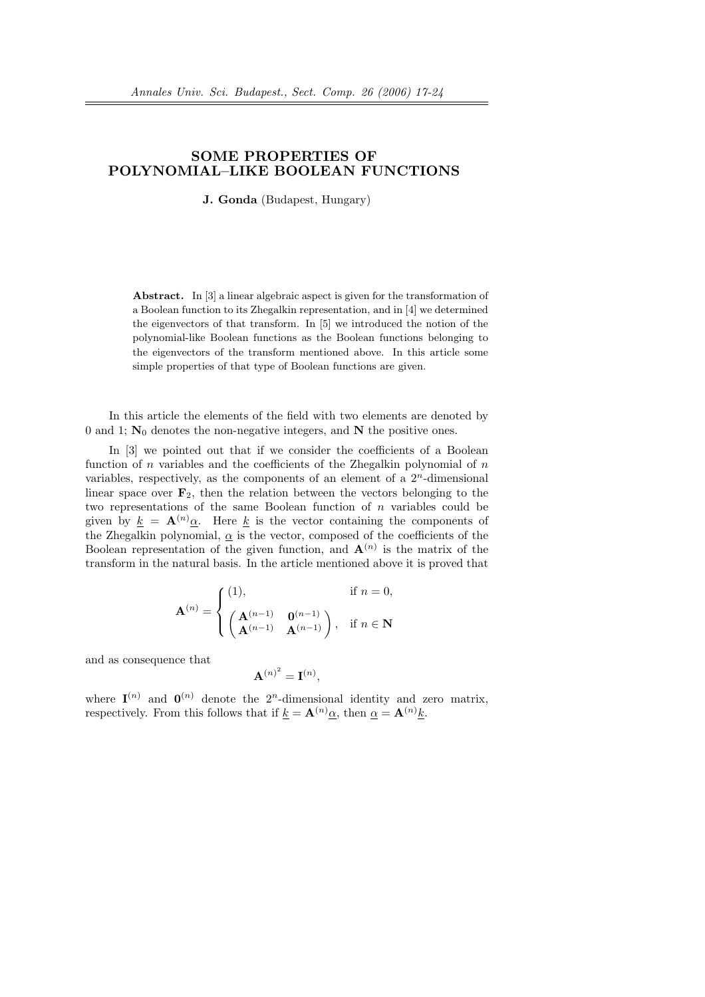## SOME PROPERTIES OF POLYNOMIAL–LIKE BOOLEAN FUNCTIONS

J. Gonda (Budapest, Hungary)

Abstract. In [3] a linear algebraic aspect is given for the transformation of a Boolean function to its Zhegalkin representation, and in [4] we determined the eigenvectors of that transform. In [5] we introduced the notion of the polynomial-like Boolean functions as the Boolean functions belonging to the eigenvectors of the transform mentioned above. In this article some simple properties of that type of Boolean functions are given.

In this article the elements of the field with two elements are denoted by 0 and 1;  $N_0$  denotes the non-negative integers, and N the positive ones.

In [3] we pointed out that if we consider the coefficients of a Boolean function of n variables and the coefficients of the Zhegalkin polynomial of  $n$ variables, respectively, as the components of an element of a  $2<sup>n</sup>$ -dimensional linear space over  $\mathbf{F}_2$ , then the relation between the vectors belonging to the two representations of the same Boolean function of  $n$  variables could be given by  $k = A^{(n)}\alpha$ . Here k is the vector containing the components of the Zhegalkin polynomial,  $\alpha$  is the vector, composed of the coefficients of the Boolean representation of the given function, and  $\mathbf{A}^{(n)}$  is the matrix of the transform in the natural basis. In the article mentioned above it is proved that

$$
\mathbf{A}^{(n)} = \begin{cases} (1), & \text{if } n = 0, \\ \begin{pmatrix} \mathbf{A}^{(n-1)} & \mathbf{0}^{(n-1)} \\ \mathbf{A}^{(n-1)} & \mathbf{A}^{(n-1)} \end{pmatrix}, & \text{if } n \in \mathbf{N} \end{cases}
$$

and as consequence that

$$
\mathbf{A}^{(n)^2} = \mathbf{I}^{(n)},
$$

where  $I^{(n)}$  and  $I^{(n)}$  denote the  $2^n$ -dimensional identity and zero matrix, respectively. From this follows that if  $\underline{k} = \mathbf{A}^{(n)} \underline{\alpha}$ , then  $\underline{\alpha} = \mathbf{A}^{(n)} \underline{k}$ .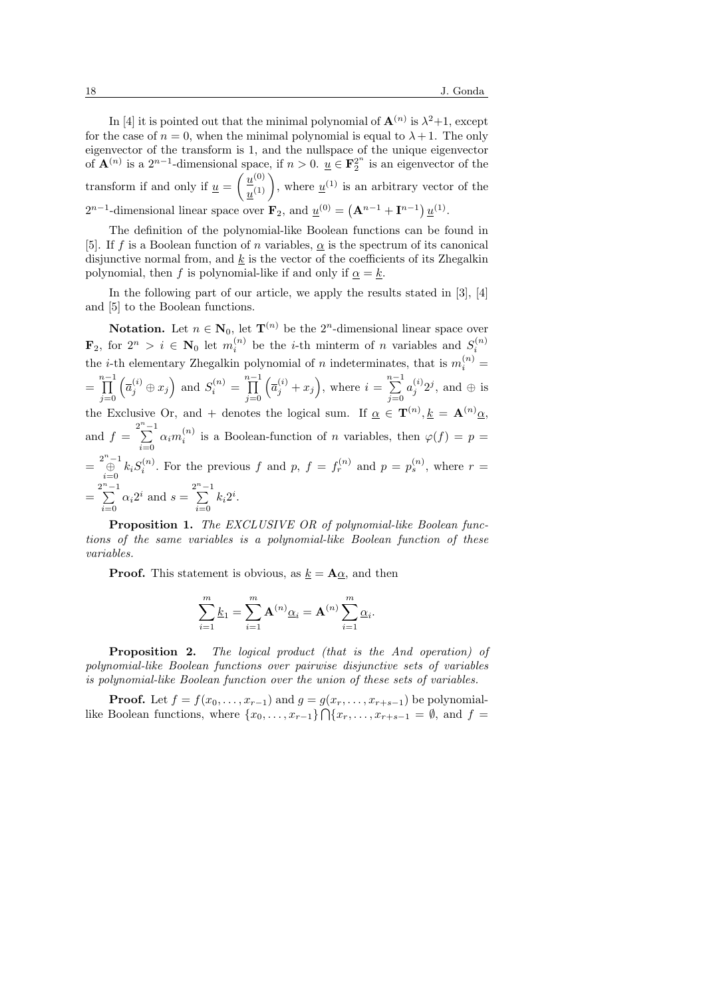In [4] it is pointed out that the minimal polynomial of  $\mathbf{A}^{(n)}$  is  $\lambda^2+1$ , except for the case of  $n = 0$ , when the minimal polynomial is equal to  $\lambda + 1$ . The only eigenvector of the transform is 1, and the nullspace of the unique eigenvector of  $\mathbf{A}^{(n)}$  is a  $2^{n-1}$ -dimensional space, if  $n > 0$ .  $\underline{u} \in \mathbf{F}_2^{2^n}$  is an eigenvector of the transform if and only if  $\underline{u} =$  $\frac{1}{2}$  $\underline{u}^{(0)}$ pace, if  $n > 0$ .  $\underline{u} \in \mathbf{F}_2$  is an eigenvector of the  $\underline{u}^{(0)}$ , where  $\underline{u}^{(1)}$  is an arbitrary vector of the  $2^{n-1}$ -dimensional linear space over  $\mathbf{F}_2$ , and  $\underline{u}^{(0)} = (\mathbf{A}^{n-1} + \mathbf{I}^{n-1}) \underline{u}^{(1)}$ .  $(1 - 1 - m)$ 

The definition of the polynomial-like Boolean functions can be found in [5]. If f is a Boolean function of n variables,  $\alpha$  is the spectrum of its canonical disjunctive normal from, and  $k$  is the vector of the coefficients of its Zhegalkin polynomial, then f is polynomial-like if and only if  $\alpha = k$ .

In the following part of our article, we apply the results stated in [3], [4] and [5] to the Boolean functions.

**Notation.** Let  $n \in \mathbb{N}_0$ , let  $\mathbf{T}^{(n)}$  be the  $2^n$ -dimensional linear space over  $\mathbf{F}_2$ , for  $2^n > i \in \mathbf{N}_0$  let  $m_i^{(n)}$  be the *i*-th minterm of *n* variables and  $S_i^{(n)}$ the *i*-th elementary Zhegalkin polynomial of *n* indeterminates, that is  $m_i^{(n)}$  =  $=\prod^{n-1}$  $j=0$  $\overline{a}$  $\overline{a}_j^{(i)}\oplus x_j$ ´ and  $S_i^{(n)} = \prod^{n-1}$  $j=0$  $\overline{a}$  $\overline{a}_j^{(i)}+x_j$ ´ , where  $i = \sum_{i=1}^{n-1}$  $j=0$  $a_j^{(i)}2^j$ , and  $\oplus$  is the Exclusive Or, and + denotes the logical sum. If  $\alpha \in \mathbf{T}^{(n)}, \underline{k} = \mathbf{A}^{(n)} \alpha$ , and  $f = \sum_{n=1}^{2^n - 1}$  $\sum_{i=0}^{\infty} \alpha_i m_i^{(n)}$  is a Boolean-function of *n* variables, then  $\varphi(f) = p =$  $=\bigoplus_{i=0}^{2^n-1} k_i S_i^{(n)}$ . For the previous f and p,  $f = f_r^{(n)}$  and  $p = p_s^{(n)}$ , where  $r =$  $=\sum_{n=1}^{2^n-1}$  $\sum_{i=0}^{n-1} \alpha_i 2^i$  and  $s = \sum_{i=0}^{2^n - 1}$  $\sum_{i=0} k_i 2^i.$ 

Proposition 1. The EXCLUSIVE OR of polynomial-like Boolean functions of the same variables is a polynomial-like Boolean function of these variables.

**Proof.** This statement is obvious, as  $k = \mathbf{A}\alpha$ , and then

$$
\sum_{i=1}^m \underline{k}_1 = \sum_{i=1}^m \mathbf{A}^{(n)} \underline{\alpha}_i = \mathbf{A}^{(n)} \sum_{i=1}^m \underline{\alpha}_i.
$$

Proposition 2. The logical product (that is the And operation) of polynomial-like Boolean functions over pairwise disjunctive sets of variables is polynomial-like Boolean function over the union of these sets of variables.

**Proof.** Let  $f = f(x_0, \ldots, x_{r-1})$  and  $g = g(x_r, \ldots, x_{r+s-1})$  be polynomiallike Boolean functions, where  $\{x_0, \ldots, x_{r-1}\} \cap \{x_r, \ldots, x_{r+s-1} = \emptyset, \text{ and } f =$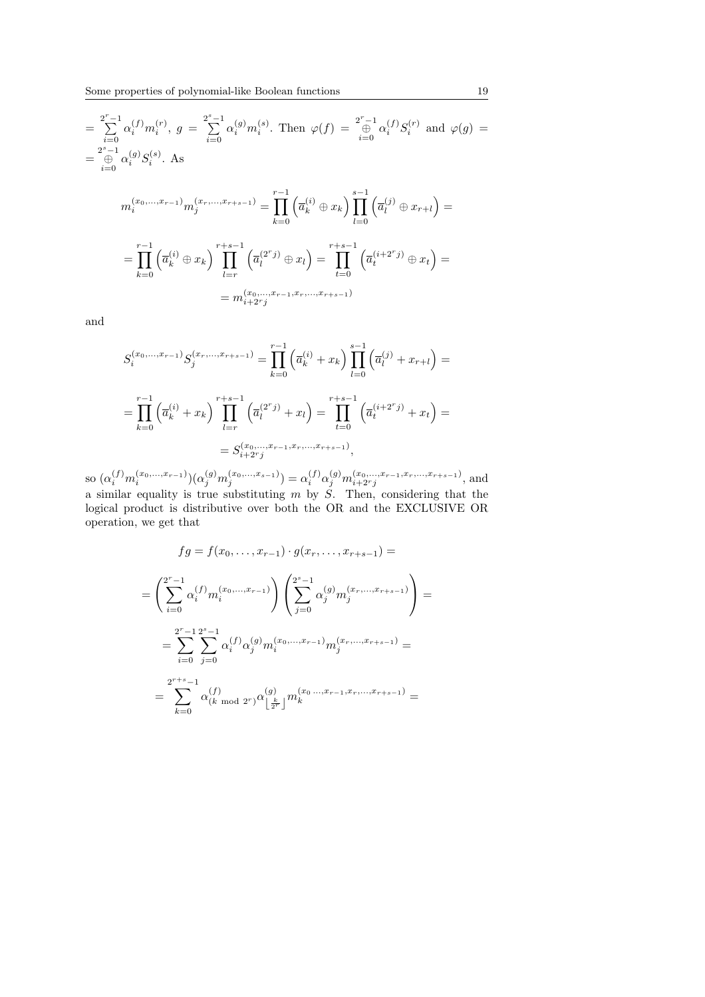$$
= \sum_{i=0}^{2^{r}-1} \alpha_{i}^{(f)} m_{i}^{(r)}, \ g = \sum_{i=0}^{2^{s}-1} \alpha_{i}^{(g)} m_{i}^{(s)}.
$$
 Then  $\varphi(f) = \bigoplus_{i=0}^{2^{r}-1} \alpha_{i}^{(f)} S_{i}^{(r)}$  and  $\varphi(g)$   
\n
$$
= \bigoplus_{i=0}^{2^{s}-1} \alpha_{i}^{(g)} S_{i}^{(s)}.
$$
 As  
\n
$$
m_{i}^{(x_{0},...,x_{r-1})} m_{j}^{(x_{r},...,x_{r+s-1})} = \prod_{k=0}^{r-1} \left( \overline{a}_{k}^{(i)} \oplus x_{k} \right) \prod_{l=0}^{s-1} \left( \overline{a}_{l}^{(j)} \oplus x_{r+l} \right) =
$$
  
\n
$$
= \prod_{k=0}^{r-1} \left( \overline{a}_{k}^{(i)} \oplus x_{k} \right) \prod_{l=r}^{r+s-1} \left( \overline{a}_{l}^{(2^{r}j)} \oplus x_{l} \right) = \prod_{t=0}^{r+s-1} \left( \overline{a}_{t}^{(i+2^{r}j)} \oplus x_{t} \right) =
$$
  
\n
$$
= m_{i+2r}^{(x_{0},...,x_{r-1},x_{r},...,x_{r+s-1})}
$$

and

$$
S_i^{(x_0,\ldots,x_{r-1})} S_j^{(x_r,\ldots,x_{r+s-1})} = \prod_{k=0}^{r-1} \left( \overline{a}_k^{(i)} + x_k \right) \prod_{l=0}^{s-1} \left( \overline{a}_l^{(j)} + x_{r+l} \right) =
$$
  

$$
= \prod_{k=0}^{r-1} \left( \overline{a}_k^{(i)} + x_k \right) \prod_{l=r}^{r+s-1} \left( \overline{a}_l^{(2^r j)} + x_l \right) = \prod_{t=0}^{r+s-1} \left( \overline{a}_t^{(i+2^r j)} + x_t \right) =
$$
  

$$
= S_{i+2^r j}^{(x_0,\ldots,x_{r-1},x_r,\ldots,x_{r+s-1})},
$$

so  $(\alpha_i^{(f)} m_i^{(x_0,\ldots,x_{r-1})})(\alpha_j^{(g)} m_j^{(x_0,\ldots,x_{s-1})}) = \alpha_i^{(f)} \alpha_j^{(g)} m_{i+2^r j}^{(x_0,\ldots,x_{r-1},x_r,\ldots,x_{r+s-1})}$ , and a similar equality is true substituting  $m$  by  $\check{S}$ . Then, considering that the logical product is distributive over both the OR and the EXCLUSIVE OR operation, we get that

$$
fg = f(x_0, \dots, x_{r-1}) \cdot g(x_r, \dots, x_{r+s-1}) =
$$
  
\n
$$
= \left(\sum_{i=0}^{2^r-1} \alpha_i^{(f)} m_i^{(x_0, \dots, x_{r-1})}\right) \left(\sum_{j=0}^{2^s-1} \alpha_j^{(g)} m_j^{(x_r, \dots, x_{r+s-1})}\right) =
$$
  
\n
$$
= \sum_{i=0}^{2^r-1} \sum_{j=0}^{2^s-1} \alpha_i^{(f)} \alpha_j^{(g)} m_i^{(x_0, \dots, x_{r-1})} m_j^{(x_r, \dots, x_{r+s-1})} =
$$
  
\n
$$
= \sum_{k=0}^{2^{r+s}-1} \alpha_{(k \mod 2^r)}^{(f)} \alpha_{\lfloor \frac{k}{2^r} \rfloor}^{(g)} m_k^{(x_0, \dots, x_{r-1}, x_r, \dots, x_{r+s-1})} =
$$

 $=$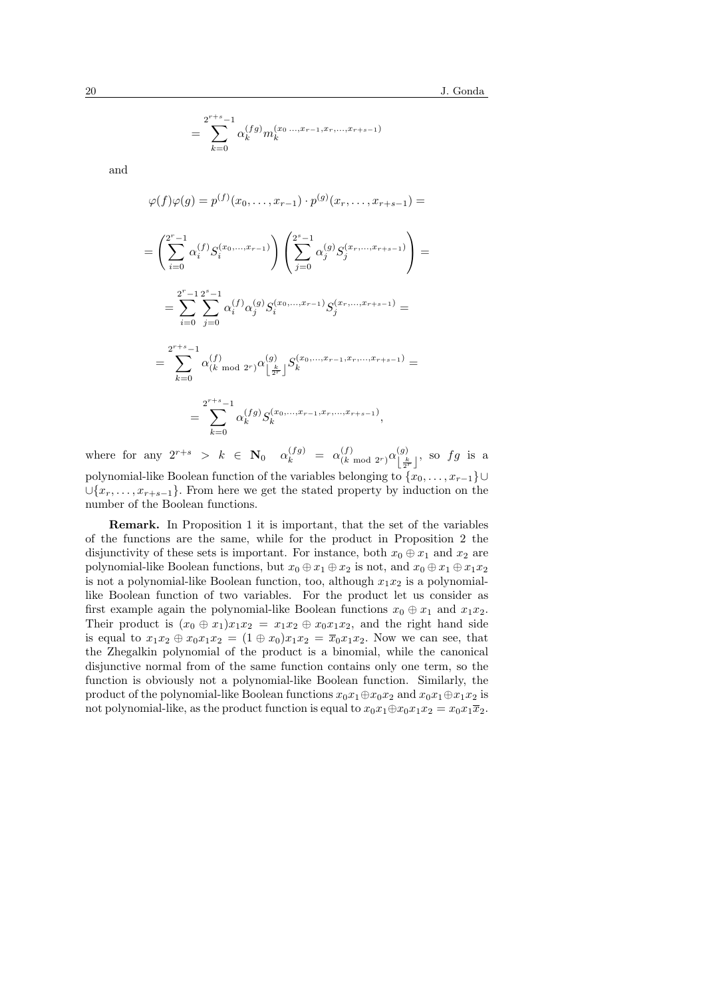$$
= \sum_{k=0}^{2^{r+s}-1} \alpha_k^{(fg)} m_k^{(x_0 \dots, x_{r-1}, x_r, \dots, x_{r+s-1})}
$$

and

$$
\varphi(f)\varphi(g) = p^{(f)}(x_0, \dots, x_{r-1}) \cdot p^{(g)}(x_r, \dots, x_{r+s-1}) =
$$
  
= 
$$
\left(\sum_{i=0}^{2^r-1} \alpha_i^{(f)} S_i^{(x_0, \dots, x_{r-1})}\right) \left(\sum_{j=0}^{2^s-1} \alpha_j^{(g)} S_j^{(x_r, \dots, x_{r+s-1})}\right) =
$$

$$
= \sum_{i=0}^{2^r-1} \sum_{j=0}^{2^s-1} \alpha_i^{(f)} \alpha_j^{(g)} S_i^{(x_0,\dots,x_{r-1})} S_j^{(x_r,\dots,x_{r+s-1})} =
$$

$$
= \sum_{k=0}^{2^{r+s}-1} \alpha_{(k \bmod 2^r)}^{(f)} \alpha_{\lfloor \frac{k}{2^r} \rfloor}^{(g)} S_k^{(x_0,\ldots,x_{r-1},x_r,\ldots,x_{r+s-1})} =
$$

$$
= \sum_{k=0}^{2^{r+s}-1} \alpha_k^{(fg)} S_k^{(x_0,\ldots,x_{r-1},x_r,\ldots,x_{r+s-1})},
$$

where for any  $2^{r+s} > k \in \mathbb{N}_0$   $\alpha_k^{(fg)} = \alpha_{(k)}^{(f)}$  $\frac{(f)}{(k \mod 2^r)} \alpha^{(g)}_{\lfloor \frac{k}{r} \rfloor}$  $\left[\frac{k}{2^r}\right]$ , so  $fg$  is a polynomial-like Boolean function of the variables belonging to  $\{x_0, \ldots, x_{r-1}\}\cup$  $\cup \{x_r, \ldots, x_{r+s-1}\}.$  From here we get the stated property by induction on the number of the Boolean functions.

Remark. In Proposition 1 it is important, that the set of the variables of the functions are the same, while for the product in Proposition 2 the disjunctivity of these sets is important. For instance, both  $x_0 \oplus x_1$  and  $x_2$  are polynomial-like Boolean functions, but  $x_0 \oplus x_1 \oplus x_2$  is not, and  $x_0 \oplus x_1 \oplus x_1x_2$ is not a polynomial-like Boolean function, too, although  $x_1x_2$  is a polynomiallike Boolean function of two variables. For the product let us consider as first example again the polynomial-like Boolean functions  $x_0 \oplus x_1$  and  $x_1x_2$ . Their product is  $(x_0 \oplus x_1)x_1x_2 = x_1x_2 \oplus x_0x_1x_2$ , and the right hand side is equal to  $x_1x_2 \oplus x_0x_1x_2 = (1 \oplus x_0)x_1x_2 = \overline{x}_0x_1x_2$ . Now we can see, that the Zhegalkin polynomial of the product is a binomial, while the canonical disjunctive normal from of the same function contains only one term, so the function is obviously not a polynomial-like Boolean function. Similarly, the product of the polynomial-like Boolean functions  $x_0x_1 \oplus x_0x_2$  and  $x_0x_1 \oplus x_1x_2$  is not polynomial-like, as the product function is equal to  $x_0x_1 \oplus x_0x_1x_2 = x_0x_1\overline{x}_2$ .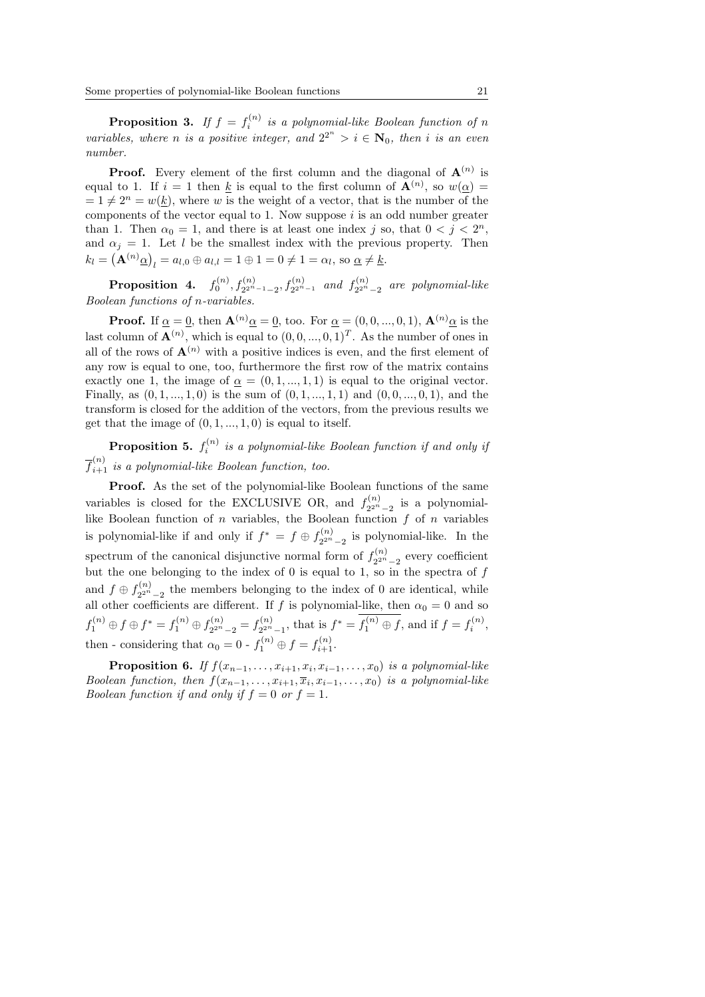**Proposition 3.** If  $f = f_i^{(n)}$  is a polynomial-like Boolean function of n variables, where n is a positive integer, and  $2^{2^n} > i \in N_0$ , then i is an even number.

**Proof.** Every element of the first column and the diagonal of  $A^{(n)}$  is equal to 1. If  $i = 1$  then k is equal to the first column of  $\mathbf{A}^{(n)}$ , so  $w(\underline{\alpha}) =$  $= 1 \neq 2^n = w(k)$ , where w is the weight of a vector, that is the number of the components of the vector equal to 1. Now suppose  $i$  is an odd number greater than 1. Then  $\alpha_0 = 1$ , and there is at least one index j so, that  $0 < j < 2^n$ , and  $\alpha_j = 1$ . Let l be the smallest index with the previous property. Then  $k_l = (\mathbf{A}^{(n)} \underline{\alpha})_l = a_{l,0} \oplus a_{l,l} = 1 \oplus 1 = 0 \neq 1 = \alpha_l$ , so  $\underline{\alpha} \neq \underline{k}$ .

 $\textbf{Proposition 4.} \quad f_0^{(n)}, f_{2^{2^n-1}-2}^{(n)}, f_{2^{2^n-1}}^{(n)} \quad and \ \ f_{2^{2^n}}^{(n)}$  $\sum_{2^{2^n}-2}^{(n)}$  are polynomial-like Boolean functions of n-variables.

**Proof.** If  $\alpha = 0$ , then  $\mathbf{A}^{(n)}\alpha = 0$ , too. For  $\alpha = (0, 0, ..., 0, 1)$ ,  $\mathbf{A}^{(n)}\alpha$  is the last column of  $\mathbf{A}^{(n)}$ , which is equal to  $(0, 0, ..., 0, 1)^T$ . As the number of ones in all of the rows of  $\mathbf{A}^{(n)}$  with a positive indices is even, and the first element of any row is equal to one, too, furthermore the first row of the matrix contains exactly one 1, the image of  $\alpha = (0, 1, ..., 1, 1)$  is equal to the original vector. Finally, as  $(0, 1, ..., 1, 0)$  is the sum of  $(0, 1, ..., 1, 1)$  and  $(0, 0, ..., 0, 1)$ , and the transform is closed for the addition of the vectors, from the previous results we get that the image of  $(0, 1, \ldots, 1, 0)$  is equal to itself.

**Proposition 5.**  $f_i^{(n)}$  is a polynomial-like Boolean function if and only if  $\overline{f}_{i+1}^{(n)}$  is a polynomial-like Boolean function, too.

Proof. As the set of the polynomial-like Boolean functions of the same variables is closed for the EXCLUSIVE OR, and  $f_{2n}^{(n)}$  $\sum_{2^{2^n}-2}^{(n)}$  is a polynomiallike Boolean function of  $n$  variables, the Boolean function  $f$  of  $n$  variables is polynomial-like if and only if  $f^* = f \oplus f_{2n}^{(n)}$  $\frac{2^{2n}-2}{2^{2n}-2}$  is polynomial-like. In the spectrum of the canonical disjunctive normal form of  $f_{2n}^{(n)}$  $\frac{2^{2n}-2}{2^{2n}-2}$  every coefficient but the one belonging to the index of  $\theta$  is equal to 1, so in the spectra of  $f$ and  $f \oplus f_{2n}^{(n)}$  $2^{2^n}$ <sub>2</sub><sup>n</sup> –<sub>2</sub> the members belonging to the index of 0 are identical, while all other coefficients are different. If f is polynomial-like, then  $\alpha_0 = 0$  and so  $f_1^{(n)} \oplus f \oplus f^* = f_1^{(n)} \oplus f_{2^{2^n}}^{(n)}$  $f_{2^{2^n}-2}^{(n)}=f_{2^{2^n}}^{(n)}$  $f^{(n)}_{2^{2^n}-1}$ , that is  $f^* = f_1^{(n)} \oplus f$ , and if  $f = f_i^{(n)}$ , then - considering that  $\alpha_0 = 0$  -  $f_1^{(n)} \oplus f = f_{i+1}^{(n)}$ .

**Proposition 6.** If  $f(x_{n-1},...,x_{i+1},x_i,x_{i-1},...,x_0)$  is a polynomial-like Boolean function, then  $f(x_{n-1},...,x_{i+1},\overline{x}_i,x_{i-1},...,x_0)$  is a polynomial-like Boolean function if and only if  $f = 0$  or  $f = 1$ .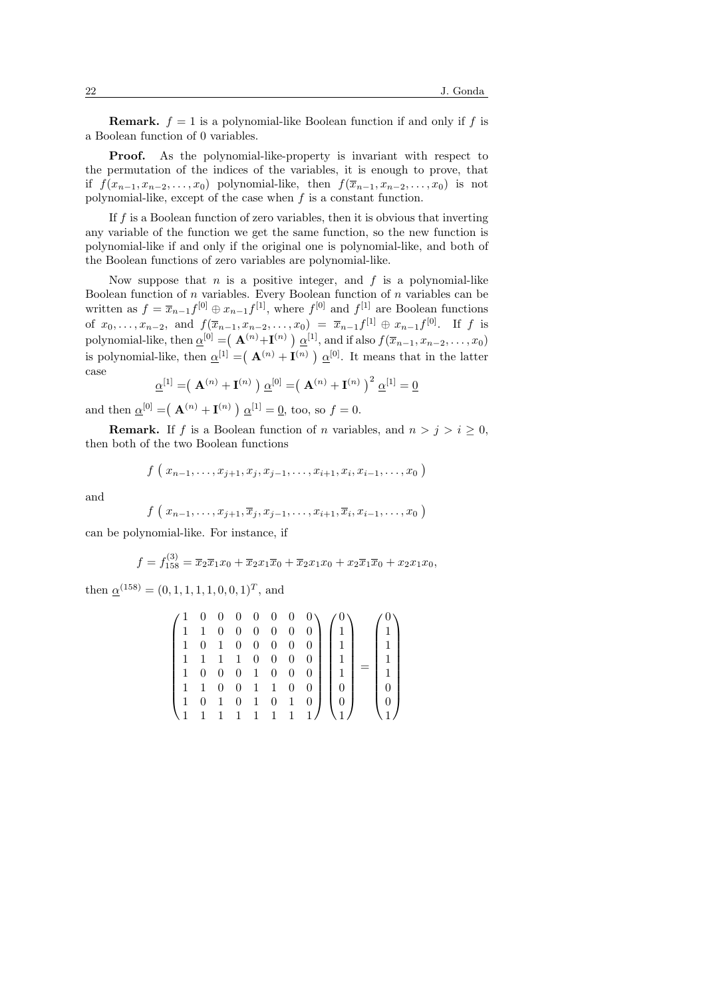**Remark.**  $f = 1$  is a polynomial-like Boolean function if and only if f is a Boolean function of 0 variables.

Proof. As the polynomial-like-property is invariant with respect to the permutation of the indices of the variables, it is enough to prove, that if  $f(x_{n-1}, x_{n-2}, \ldots, x_0)$  polynomial-like, then  $f(\overline{x}_{n-1}, x_{n-2}, \ldots, x_0)$  is not polynomial-like, except of the case when  $f$  is a constant function.

If  $f$  is a Boolean function of zero variables, then it is obvious that inverting any variable of the function we get the same function, so the new function is polynomial-like if and only if the original one is polynomial-like, and both of the Boolean functions of zero variables are polynomial-like.

Now suppose that  $n$  is a positive integer, and  $f$  is a polynomial-like Boolean function of  $n$  variables. Every Boolean function of  $n$  variables can be written as  $f = \overline{x}_{n-1} f^{[0]} \oplus x_{n-1} f^{[1]}$ , where  $f^{[0]}$  and  $f^{[1]}$  are Boolean functions of  $x_0, \ldots, x_{n-2}$ , and  $f(\overline{x}_{n-1}, x_{n-2}, \ldots, x_0) = \overline{x}_{n-1} f^{[1]} \oplus x_{n-1} f^{[0]}$ . If f is polynomial-like, then  $\underline{\alpha}^{[0]} = ( \mathbf{A}^{(n)} + \mathbf{I}^{(n)} ) \underline{\alpha}^{[1]}$ , and if also  $f(\overline{x}_{n-1}, x_{n-2}, \dots, x_0)$ is polynomial-like, then  $\underline{\alpha}^{[1]} = (\mathbf{A}^{(n)} + \mathbf{I}^{(n)})$  $\underline{\alpha}^{[0]}$ . It means that in the latter case ¡ ¢ ¡

$$
\underline{\alpha}^{[1]} = (\mathbf{A}^{(n)} + \mathbf{I}^{(n)}) \underline{\alpha}^{[0]} = (\mathbf{A}^{(n)} + \mathbf{I}^{(n)})^2 \underline{\alpha}^{[1]} = \underline{0}
$$

and then  $\underline{\alpha}^{[0]} = (\mathbf{A}^{(n)} + \mathbf{I}^{(n)})$  $\underline{\alpha}^{[1]} = \underline{0}$ , too, so  $f = 0$ .

**Remark.** If f is a Boolean function of n variables, and  $n > j > i \geq 0$ , then both of the two Boolean functions

$$
f(x_{n-1},...,x_{j+1},x_j,x_{j-1},...,x_{i+1},x_i,x_{i-1},...,x_0)
$$

and

$$
f(x_{n-1},\ldots,x_{j+1},\overline{x}_j,x_{j-1},\ldots,x_{i+1},\overline{x}_i,x_{i-1},\ldots,x_0)
$$

can be polynomial-like. For instance, if

$$
f = f_{158}^{(3)} = \overline{x}_2 \overline{x}_1 x_0 + \overline{x}_2 x_1 \overline{x}_0 + \overline{x}_2 x_1 x_0 + x_2 \overline{x}_1 \overline{x}_0 + x_2 x_1 x_0,
$$

then  $\underline{\alpha}^{(158)} = (0, 1, 1, 1, 1, 0, 0, 1)^T$ , and

$$
\begin{pmatrix} 1 & 0 & 0 & 0 & 0 & 0 & 0 & 0 \\ 1 & 1 & 0 & 0 & 0 & 0 & 0 & 0 \\ 1 & 0 & 1 & 0 & 0 & 0 & 0 & 0 \\ 1 & 1 & 1 & 1 & 1 & 0 & 0 & 0 \\ 1 & 0 & 0 & 0 & 1 & 0 & 0 & 0 \\ 1 & 1 & 0 & 0 & 1 & 1 & 0 & 0 \\ 1 & 0 & 1 & 0 & 1 & 0 & 1 & 0 \\ 1 & 1 & 1 & 1 & 1 & 1 & 1 & 1 \end{pmatrix} \begin{pmatrix} 0 \\ 1 \\ 1 \\ 1 \\ 0 \\ 0 \\ 0 \\ 1 \end{pmatrix} = \begin{pmatrix} 0 \\ 1 \\ 1 \\ 1 \\ 0 \\ 0 \\ 0 \\ 1 \end{pmatrix}
$$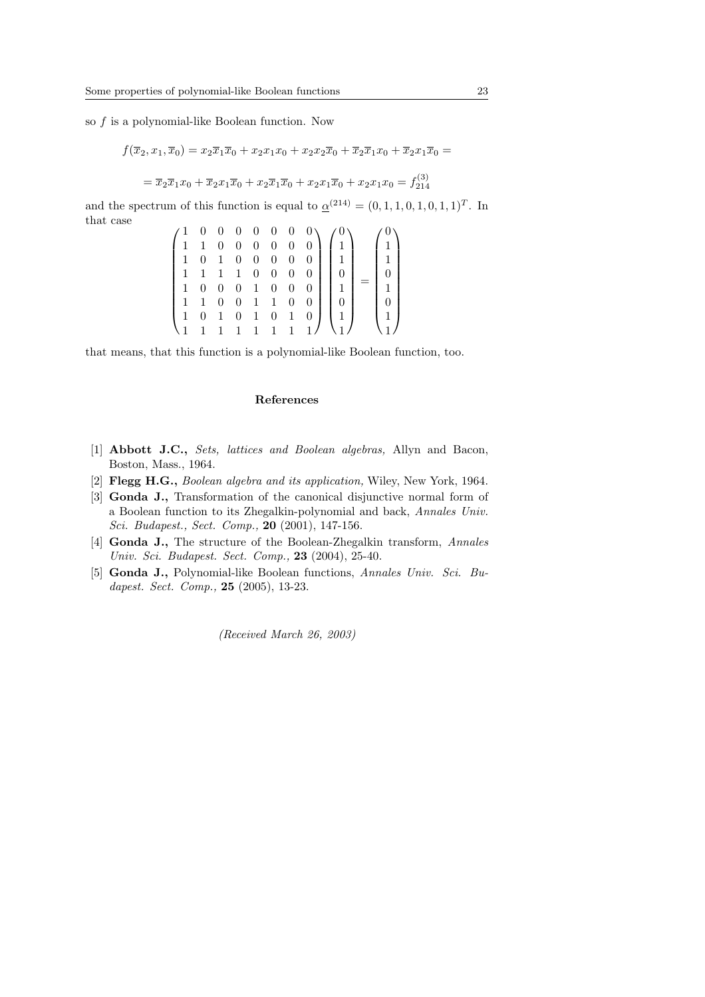so  $f$  is a polynomial-like Boolean function. Now

$$
f(\overline{x}_2, x_1, \overline{x}_0) = x_2 \overline{x}_1 \overline{x}_0 + x_2 x_1 x_0 + x_2 x_2 \overline{x}_0 + \overline{x}_2 \overline{x}_1 x_0 + \overline{x}_2 x_1 \overline{x}_0 =
$$
  
=  $\overline{x}_2 \overline{x}_1 x_0 + \overline{x}_2 x_1 \overline{x}_0 + x_2 \overline{x}_1 \overline{x}_0 + x_2 x_1 \overline{x}_0 + x_2 x_1 x_0 = f_{214}^{(3)}$ 

and the spectrum of this function is equal to  $\underline{\alpha}^{(214)} = (0, 1, 1, 0, 1, 0, 1, 1)^T$ . In that case  $\mathbf{r}$ 

$$
\begin{pmatrix} 1 & 0 & 0 & 0 & 0 & 0 & 0 & 0 \\ 1 & 1 & 0 & 0 & 0 & 0 & 0 & 0 \\ 1 & 0 & 1 & 0 & 0 & 0 & 0 & 0 \\ 1 & 1 & 1 & 1 & 0 & 0 & 0 & 0 \\ 1 & 0 & 0 & 0 & 1 & 0 & 0 & 0 \\ 1 & 1 & 0 & 0 & 1 & 1 & 0 & 0 \\ 1 & 1 & 1 & 1 & 1 & 1 & 1 & 1 \end{pmatrix} \begin{pmatrix} 0 \\ 1 \\ 1 \\ 0 \\ 1 \\ 0 \\ 1 \end{pmatrix} = \begin{pmatrix} 0 \\ 1 \\ 1 \\ 0 \\ 1 \\ 0 \\ 1 \end{pmatrix}
$$

that means, that this function is a polynomial-like Boolean function, too.

## References

- [1] Abbott J.C., Sets, lattices and Boolean algebras, Allyn and Bacon, Boston, Mass., 1964.
- [2] Flegg H.G., Boolean algebra and its application, Wiley, New York, 1964.
- [3] Gonda J., Transformation of the canonical disjunctive normal form of a Boolean function to its Zhegalkin-polynomial and back, Annales Univ. Sci. Budapest., Sect. Comp., 20 (2001), 147-156.
- [4] Gonda J., The structure of the Boolean-Zhegalkin transform, Annales Univ. Sci. Budapest. Sect. Comp., **23** (2004), 25-40.
- [5] Gonda J., Polynomial-like Boolean functions, Annales Univ. Sci. Budapest. Sect. Comp., **25** (2005), 13-23.

(Received March 26, 2003)